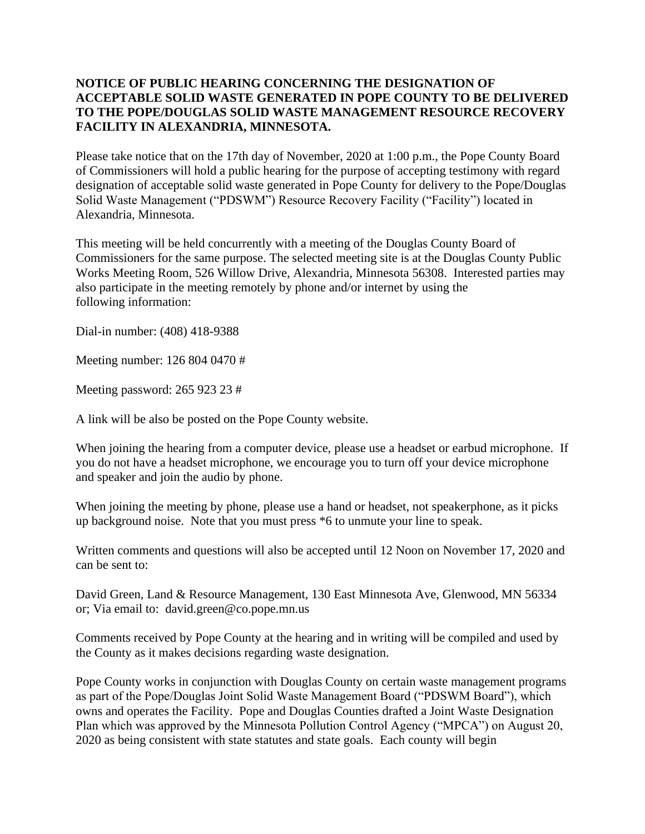## **NOTICE OF PUBLIC HEARING CONCERNING THE DESIGNATION OF ACCEPTABLE SOLID WASTE GENERATED IN POPE COUNTY TO BE DELIVERED TO THE POPE/DOUGLAS SOLID WASTE MANAGEMENT RESOURCE RECOVERY FACILITY IN ALEXANDRIA, MINNESOTA.**

Please take notice that on the 17th day of November, 2020 at 1:00 p.m., the Pope County Board of Commissioners will hold a public hearing for the purpose of accepting testimony with regard designation of acceptable solid waste generated in Pope County for delivery to the Pope/Douglas Solid Waste Management ("PDSWM") Resource Recovery Facility ("Facility") located in Alexandria, Minnesota.

This meeting will be held concurrently with a meeting of the Douglas County Board of Commissioners for the same purpose. The selected meeting site is at the Douglas County Public Works Meeting Room, 526 Willow Drive, Alexandria, Minnesota 56308. Interested parties may also participate in the meeting remotely by phone and/or internet by using the following information:

Dial-in number: (408) 418-9388

Meeting number: 126 804 0470 #

Meeting password: 265 923 23 #

A link will be also be posted on the Pope County website.

When joining the hearing from a computer device, please use a headset or earbud microphone. If you do not have a headset microphone, we encourage you to turn off your device microphone and speaker and join the audio by phone.

When joining the meeting by phone, please use a hand or headset, not speakerphone, as it picks up background noise. Note that you must press \*6 to unmute your line to speak.

Written comments and questions will also be accepted until 12 Noon on November 17, 2020 and can be sent to:

David Green, Land & Resource Management, 130 East Minnesota Ave, Glenwood, MN 56334 or; Via email to: david.green@co.pope.mn.us

Comments received by Pope County at the hearing and in writing will be compiled and used by the County as it makes decisions regarding waste designation.

Pope County works in conjunction with Douglas County on certain waste management programs as part of the Pope/Douglas Joint Solid Waste Management Board ("PDSWM Board"), which owns and operates the Facility. Pope and Douglas Counties drafted a Joint Waste Designation Plan which was approved by the Minnesota Pollution Control Agency ("MPCA") on August 20, 2020 as being consistent with state statutes and state goals. Each county will begin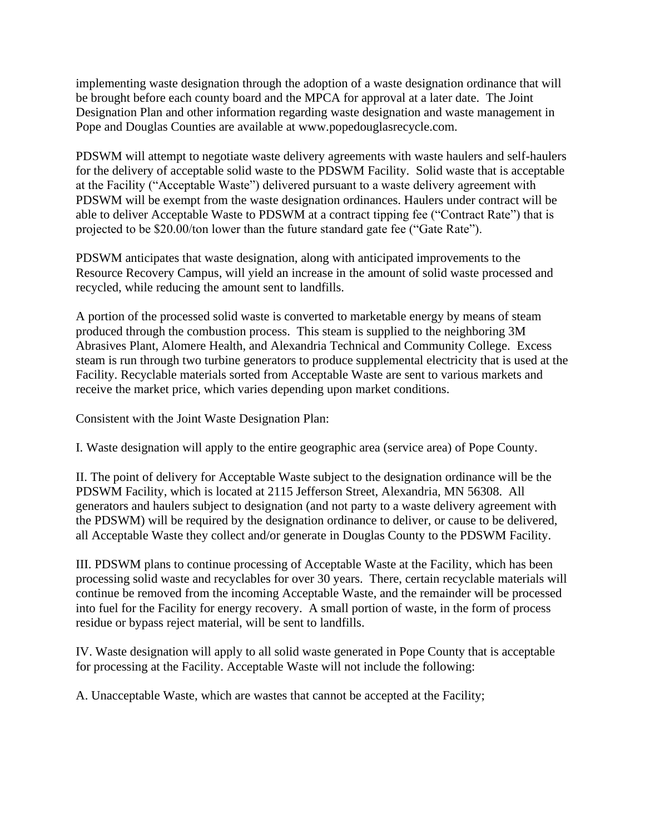implementing waste designation through the adoption of a waste designation ordinance that will be brought before each county board and the MPCA for approval at a later date. The Joint Designation Plan and other information regarding waste designation and waste management in Pope and Douglas Counties are available at www.popedouglasrecycle.com.

PDSWM will attempt to negotiate waste delivery agreements with waste haulers and self-haulers for the delivery of acceptable solid waste to the PDSWM Facility. Solid waste that is acceptable at the Facility ("Acceptable Waste") delivered pursuant to a waste delivery agreement with PDSWM will be exempt from the waste designation ordinances. Haulers under contract will be able to deliver Acceptable Waste to PDSWM at a contract tipping fee ("Contract Rate") that is projected to be \$20.00/ton lower than the future standard gate fee ("Gate Rate").

PDSWM anticipates that waste designation, along with anticipated improvements to the Resource Recovery Campus, will yield an increase in the amount of solid waste processed and recycled, while reducing the amount sent to landfills.

A portion of the processed solid waste is converted to marketable energy by means of steam produced through the combustion process. This steam is supplied to the neighboring 3M Abrasives Plant, Alomere Health, and Alexandria Technical and Community College. Excess steam is run through two turbine generators to produce supplemental electricity that is used at the Facility. Recyclable materials sorted from Acceptable Waste are sent to various markets and receive the market price, which varies depending upon market conditions.

Consistent with the Joint Waste Designation Plan:

I. Waste designation will apply to the entire geographic area (service area) of Pope County.

II. The point of delivery for Acceptable Waste subject to the designation ordinance will be the PDSWM Facility, which is located at 2115 Jefferson Street, Alexandria, MN 56308. All generators and haulers subject to designation (and not party to a waste delivery agreement with the PDSWM) will be required by the designation ordinance to deliver, or cause to be delivered, all Acceptable Waste they collect and/or generate in Douglas County to the PDSWM Facility.

III. PDSWM plans to continue processing of Acceptable Waste at the Facility, which has been processing solid waste and recyclables for over 30 years. There, certain recyclable materials will continue be removed from the incoming Acceptable Waste, and the remainder will be processed into fuel for the Facility for energy recovery. A small portion of waste, in the form of process residue or bypass reject material, will be sent to landfills.

IV. Waste designation will apply to all solid waste generated in Pope County that is acceptable for processing at the Facility. Acceptable Waste will not include the following:

A. Unacceptable Waste, which are wastes that cannot be accepted at the Facility;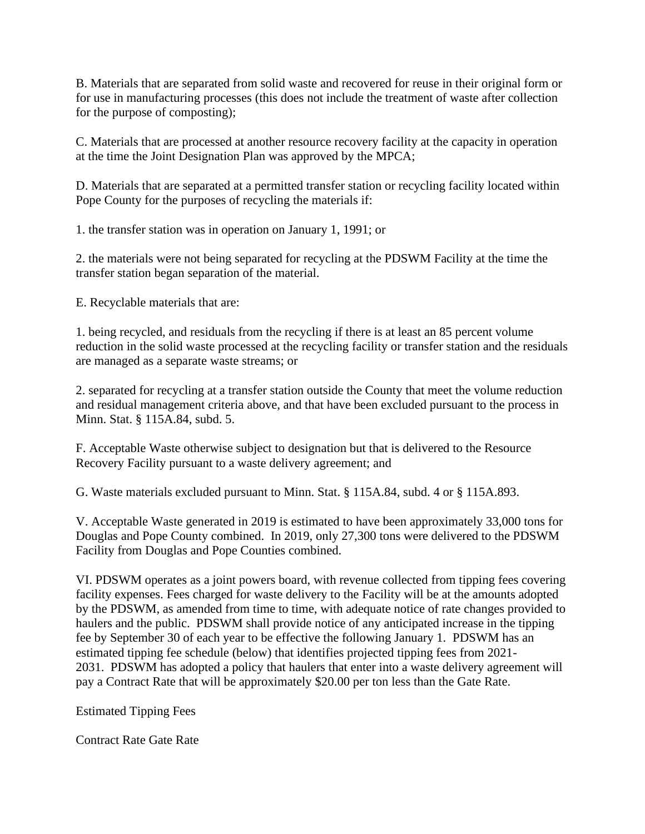B. Materials that are separated from solid waste and recovered for reuse in their original form or for use in manufacturing processes (this does not include the treatment of waste after collection for the purpose of composting);

C. Materials that are processed at another resource recovery facility at the capacity in operation at the time the Joint Designation Plan was approved by the MPCA;

D. Materials that are separated at a permitted transfer station or recycling facility located within Pope County for the purposes of recycling the materials if:

1. the transfer station was in operation on January 1, 1991; or

2. the materials were not being separated for recycling at the PDSWM Facility at the time the transfer station began separation of the material.

E. Recyclable materials that are:

1. being recycled, and residuals from the recycling if there is at least an 85 percent volume reduction in the solid waste processed at the recycling facility or transfer station and the residuals are managed as a separate waste streams; or

2. separated for recycling at a transfer station outside the County that meet the volume reduction and residual management criteria above, and that have been excluded pursuant to the process in Minn. Stat. § 115A.84, subd. 5.

F. Acceptable Waste otherwise subject to designation but that is delivered to the Resource Recovery Facility pursuant to a waste delivery agreement; and

G. Waste materials excluded pursuant to Minn. Stat. § 115A.84, subd. 4 or § 115A.893.

V. Acceptable Waste generated in 2019 is estimated to have been approximately 33,000 tons for Douglas and Pope County combined. In 2019, only 27,300 tons were delivered to the PDSWM Facility from Douglas and Pope Counties combined.

VI. PDSWM operates as a joint powers board, with revenue collected from tipping fees covering facility expenses. Fees charged for waste delivery to the Facility will be at the amounts adopted by the PDSWM, as amended from time to time, with adequate notice of rate changes provided to haulers and the public. PDSWM shall provide notice of any anticipated increase in the tipping fee by September 30 of each year to be effective the following January 1. PDSWM has an estimated tipping fee schedule (below) that identifies projected tipping fees from 2021- 2031. PDSWM has adopted a policy that haulers that enter into a waste delivery agreement will pay a Contract Rate that will be approximately \$20.00 per ton less than the Gate Rate.

Estimated Tipping Fees

Contract Rate Gate Rate